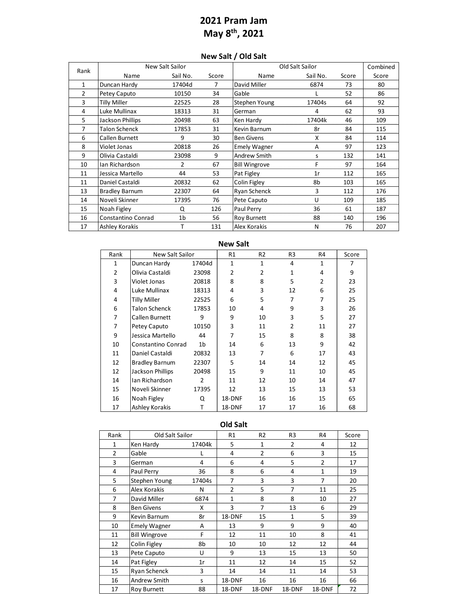## **2021 Pram Jam May 8th, 2021**

## **New Salt / Old Salt**

| Rank | New Salt Sailor       |                |       | Old Salt Sailor      | Combined |       |       |
|------|-----------------------|----------------|-------|----------------------|----------|-------|-------|
|      | Name                  | Sail No.       | Score | Name                 | Sail No. | Score | Score |
| 1    | Duncan Hardy          | 17404d         | 7     | David Miller         | 6874     | 73    | 80    |
| 2    | Petey Caputo          | 10150          | 34    | Gable                |          | 52    | 86    |
| 3    | Tilly Miller          | 22525          | 28    | Stephen Young        | 17404s   | 64    | 92    |
| 4    | Luke Mullinax         | 18313          | 31    | German               | 4        | 62    | 93    |
| 5    | Jackson Phillips      | 20498          | 63    | Ken Hardy            | 17404k   | 46    | 109   |
| 7    | <b>Talon Schenck</b>  | 17853          | 31    | Kevin Barnum         | 8r       | 84    | 115   |
| 6    | Callen Burnett        | 9              | 30    | <b>Ben Givens</b>    | X        | 84    | 114   |
| 8    | Violet Jonas          | 20818          | 26    | <b>Emely Wagner</b>  | A        | 97    | 123   |
| 9    | Olivia Castaldi       | 23098          | 9     | Andrew Smith         | S        | 132   | 141   |
| 10   | Ian Richardson        | $\overline{2}$ | 67    | <b>Bill Wingrove</b> | F        | 97    | 164   |
| 11   | Jessica Martello      | 44             | 53    | Pat Figley           | 1r       | 112   | 165   |
| 11   | Daniel Castaldi       | 20832          | 62    | Colin Figley         | 8b       | 103   | 165   |
| 13   | <b>Bradley Barnum</b> | 22307          | 64    | Ryan Schenck         | 3        | 112   | 176   |
| 14   | Noveli Skinner        | 17395          | 76    | Pete Caputo          | U        | 109   | 185   |
| 15   | Noah Figley           | Q              | 126   | Paul Perry           | 36       | 61    | 187   |
| 16   | Constantino Conrad    | 1 <sub>b</sub> | 56    | <b>Roy Burnett</b>   | 88       | 140   | 196   |
| 17   | Ashley Korakis        | т              | 131   | Alex Korakis         | N        | 76    | 207   |

| <b>IVEW JAIL</b> |                       |                |              |                |                |              |       |  |  |
|------------------|-----------------------|----------------|--------------|----------------|----------------|--------------|-------|--|--|
| Rank             | New Salt Sailor       |                | R1           | R <sub>2</sub> | R3             | R4           | Score |  |  |
| $\mathbf{1}$     | Duncan Hardy          | 17404d         | $\mathbf{1}$ | 1              | 4              | $\mathbf{1}$ | 7     |  |  |
| 2                | Olivia Castaldi       | 23098          | 2            | 2              | 1              | 4            | 9     |  |  |
| 3                | Violet Jonas          | 20818          | 8            | 8              | 5              | 2            | 23    |  |  |
| 4                | Luke Mullinax         | 18313          | 4            | 3              | 12             | 6            | 25    |  |  |
| 4                | Tilly Miller          | 22525          | 6            | 5              | 7              | 7            | 25    |  |  |
| 6                | <b>Talon Schenck</b>  | 17853          | 10           | 4              | 9              | 3            | 26    |  |  |
| 7                | Callen Burnett        | 9              | 9            | 10             | 3              | 5            | 27    |  |  |
| 7                | Petey Caputo          | 10150          | 3            | 11             | $\overline{2}$ | 11           | 27    |  |  |
| 9                | Jessica Martello      | 44             | 7            | 15             | 8              | 8            | 38    |  |  |
| 10               | Constantino Conrad    | 1 <sub>b</sub> | 14           | 6              | 13             | 9            | 42    |  |  |
| 11               | Daniel Castaldi       | 20832          | 13           | 7              | 6              | 17           | 43    |  |  |
| 12               | <b>Bradley Barnum</b> | 22307          | 5            | 14             | 14             | 12           | 45    |  |  |
| 12               | Jackson Phillips      | 20498          | 15           | 9              | 11             | 10           | 45    |  |  |
| 14               | Ian Richardson        | 2              | 11           | 12             | 10             | 14           | 47    |  |  |
| 15               | Noveli Skinner        | 17395          | 12           | 13             | 15             | 13           | 53    |  |  |
| 16               | Noah Figley           | Q              | 18-DNF       | 16             | 16             | 15           | 65    |  |  |
| 17               | Ashley Korakis        | T              | 18-DNF       | 17             | 17             | 16           | 68    |  |  |

## **New Salt**

**Old Salt** 

| Rank           | Old Salt Sailor      |        | R <sub>1</sub> | R <sub>2</sub> | R <sub>3</sub> | R <sub>4</sub> | Score |
|----------------|----------------------|--------|----------------|----------------|----------------|----------------|-------|
| 1              | Ken Hardy            | 17404k | 5              | 1              | 2              | 4              | 12    |
| $\overline{2}$ | Gable                | L      | 4              | 2              | 6              | 3              | 15    |
| 3              | German               | 4      | 6              | 4              | 5              | $\overline{2}$ | 17    |
| 4              | Paul Perry           | 36     | 8              | 6              | 4              | $\mathbf{1}$   | 19    |
| 5              | Stephen Young        | 17404s | 7              | 3              | 3              | $\overline{7}$ | 20    |
| 6              | Alex Korakis         | N      | $\overline{2}$ | 5              | 7              | 11             | 25    |
| 7              | David Miller         | 6874   | $\mathbf{1}$   | 8              | 8              | 10             | 27    |
| 8              | <b>Ben Givens</b>    | X      | 3              | 7              | 13             | 6              | 29    |
| 9              | Kevin Barnum         | 8r     | 18-DNF         | 15             | $\mathbf{1}$   | 5              | 39    |
| 10             | <b>Emely Wagner</b>  | A      | 13             | 9              | 9              | 9              | 40    |
| 11             | <b>Bill Wingrove</b> | F      | 12             | 11             | 10             | 8              | 41    |
| 12             | Colin Figley         | 8b     | 10             | 10             | 12             | 12             | 44    |
| 13             | Pete Caputo          | U      | 9              | 13             | 15             | 13             | 50    |
| 14             | Pat Figley           | 1r     | 11             | 12             | 14             | 15             | 52    |
| 15             | Ryan Schenck         | 3      | 14             | 14             | 11             | 14             | 53    |
| 16             | Andrew Smith         | S      | 18-DNF         | 16             | 16             | 16             | 66    |
| 17             | <b>Roy Burnett</b>   | 88     | 18-DNF         | 18-DNF         | 18-DNF         | 18-DNF         | 72    |